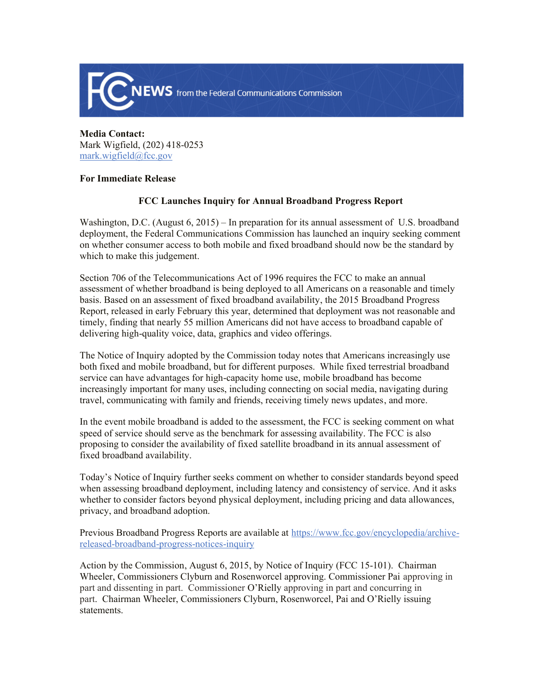

**Media Contact:**  Mark Wigfield, (202) 418-0253 mark.wigfield@fcc.gov

## **For Immediate Release**

## **FCC Launches Inquiry for Annual Broadband Progress Report**

Washington, D.C. (August 6, 2015) – In preparation for its annual assessment of U.S. broadband deployment, the Federal Communications Commission has launched an inquiry seeking comment on whether consumer access to both mobile and fixed broadband should now be the standard by which to make this judgement.

Section 706 of the Telecommunications Act of 1996 requires the FCC to make an annual assessment of whether broadband is being deployed to all Americans on a reasonable and timely basis. Based on an assessment of fixed broadband availability, the 2015 Broadband Progress Report, released in early February this year, determined that deployment was not reasonable and timely, finding that nearly 55 million Americans did not have access to broadband capable of delivering high-quality voice, data, graphics and video offerings.

The Notice of Inquiry adopted by the Commission today notes that Americans increasingly use both fixed and mobile broadband, but for different purposes. While fixed terrestrial broadband service can have advantages for high-capacity home use, mobile broadband has become increasingly important for many uses, including connecting on social media, navigating during travel, communicating with family and friends, receiving timely news updates, and more.

In the event mobile broadband is added to the assessment, the FCC is seeking comment on what speed of service should serve as the benchmark for assessing availability. The FCC is also proposing to consider the availability of fixed satellite broadband in its annual assessment of fixed broadband availability.

Today's Notice of Inquiry further seeks comment on whether to consider standards beyond speed when assessing broadband deployment, including latency and consistency of service. And it asks whether to consider factors beyond physical deployment, including pricing and data allowances, privacy, and broadband adoption.

Previous Broadband Progress Reports are available at https://www.fcc.gov/encyclopedia/archivereleased-broadband-progress-notices-inquiry

Action by the Commission, August 6, 2015, by Notice of Inquiry (FCC 15-101). Chairman Wheeler, Commissioners Clyburn and Rosenworcel approving. Commissioner Pai approving in part and dissenting in part. Commissioner O'Rielly approving in part and concurring in part. Chairman Wheeler, Commissioners Clyburn, Rosenworcel, Pai and O'Rielly issuing statements.